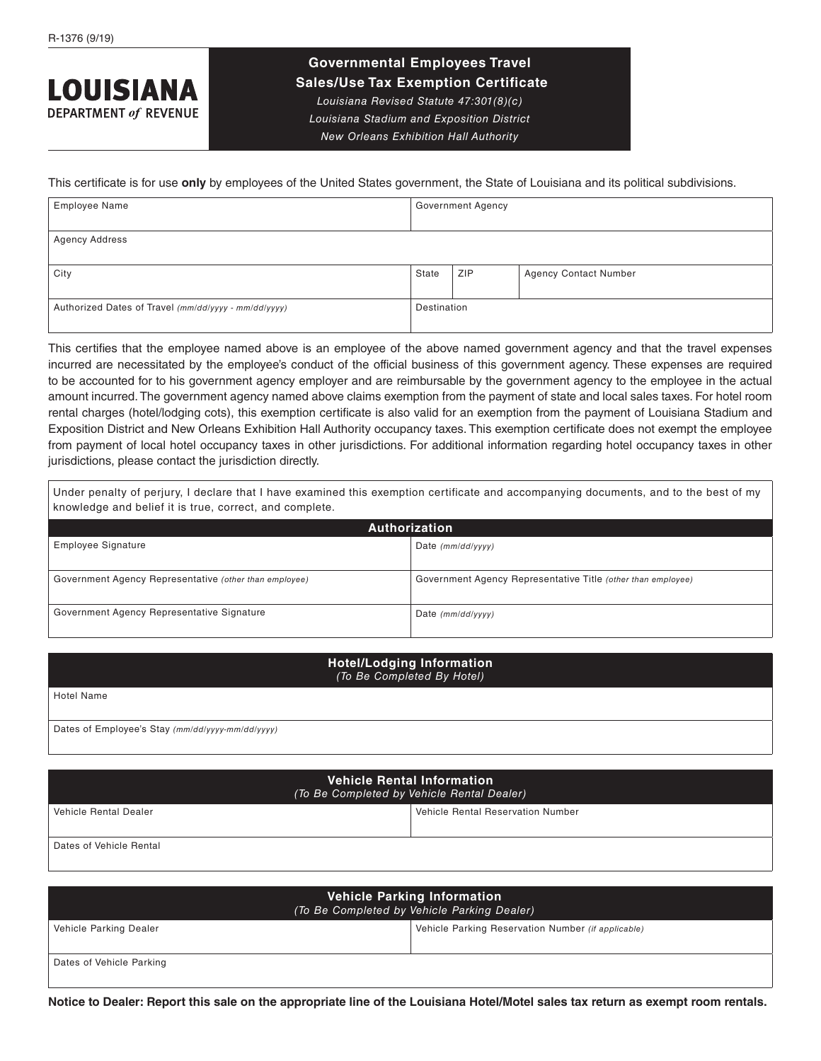## **LOUISIANA DEPARTMENT of REVENUE**

## **Governmental Employees Travel**

 **Sales/Use Tax Exemption Certificate** *Louisiana Revised Statute 47:301(8)(c)* 

*Louisiana Stadium and Exposition District* 

*New Orleans Exhibition Hall Authority*

This certificate is for use **only** by employees of the United States government, the State of Louisiana and its political subdivisions.

| <b>Employee Name</b>                                 | <b>Government Agency</b> |            |                              |  |
|------------------------------------------------------|--------------------------|------------|------------------------------|--|
|                                                      |                          |            |                              |  |
| <b>Agency Address</b>                                |                          |            |                              |  |
|                                                      |                          |            |                              |  |
| City                                                 | State                    | <b>ZIP</b> | <b>Agency Contact Number</b> |  |
|                                                      |                          |            |                              |  |
| Authorized Dates of Travel (mm/dd/yyyy - mm/dd/yyyy) | Destination              |            |                              |  |
|                                                      |                          |            |                              |  |

This certifies that the employee named above is an employee of the above named government agency and that the travel expenses incurred are necessitated by the employee's conduct of the official business of this government agency. These expenses are required to be accounted for to his government agency employer and are reimbursable by the government agency to the employee in the actual amount incurred. The government agency named above claims exemption from the payment of state and local sales taxes. For hotel room rental charges (hotel/lodging cots), this exemption certificate is also valid for an exemption from the payment of Louisiana Stadium and Exposition District and New Orleans Exhibition Hall Authority occupancy taxes. This exemption certificate does not exempt the employee from payment of local hotel occupancy taxes in other jurisdictions. For additional information regarding hotel occupancy taxes in other jurisdictions, please contact the jurisdiction directly.

Under penalty of perjury, I declare that I have examined this exemption certificate and accompanying documents, and to the best of my knowledge and belief it is true, correct, and complete.

| Authorization                                          |                                                              |  |  |
|--------------------------------------------------------|--------------------------------------------------------------|--|--|
| Employee Signature                                     | Date $(mm/dd/vv/v)$                                          |  |  |
|                                                        |                                                              |  |  |
| Government Agency Representative (other than employee) | Government Agency Representative Title (other than employee) |  |  |
| Government Agency Representative Signature             | Date $(mm/dd/vv/v)$                                          |  |  |

## **Hotel/Lodging Information** *(To Be Completed By Hotel)*

Hotel Name

Dates of Employee's Stay *(mm/dd/yyyy-mm/dd/yyyy)*

| <b>Vehicle Rental Information</b><br>(To Be Completed by Vehicle Rental Dealer) |                                          |  |
|---------------------------------------------------------------------------------|------------------------------------------|--|
| Vehicle Rental Dealer                                                           | <b>Vehicle Rental Reservation Number</b> |  |
|                                                                                 |                                          |  |
| Dates of Vehicle Rental                                                         |                                          |  |

| <b>Vehicle Parking Information</b><br>(To Be Completed by Vehicle Parking Dealer) |                                                    |  |  |
|-----------------------------------------------------------------------------------|----------------------------------------------------|--|--|
| Vehicle Parking Dealer                                                            | Vehicle Parking Reservation Number (if applicable) |  |  |
|                                                                                   |                                                    |  |  |
| Dates of Vehicle Parking                                                          |                                                    |  |  |
|                                                                                   |                                                    |  |  |

**Notice to Dealer: Report this sale on the appropriate line of the Louisiana Hotel/Motel sales tax return as exempt room rentals.**